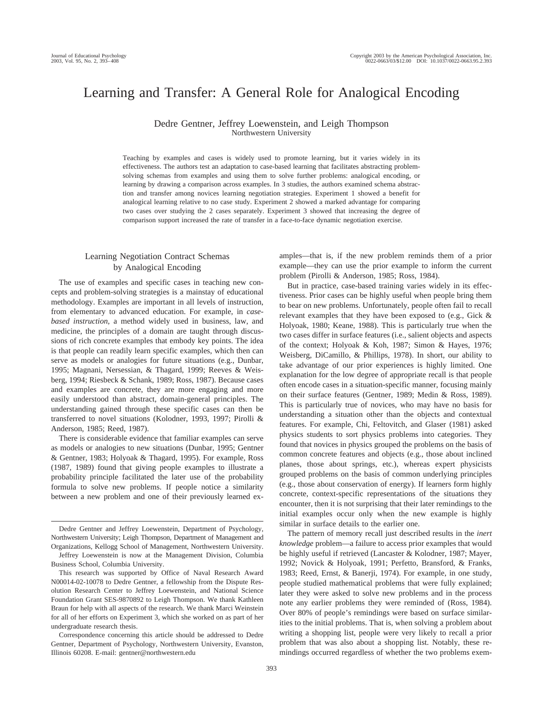# Learning and Transfer: A General Role for Analogical Encoding

Dedre Gentner, Jeffrey Loewenstein, and Leigh Thompson Northwestern University

Teaching by examples and cases is widely used to promote learning, but it varies widely in its effectiveness. The authors test an adaptation to case-based learning that facilitates abstracting problemsolving schemas from examples and using them to solve further problems: analogical encoding, or learning by drawing a comparison across examples. In 3 studies, the authors examined schema abstraction and transfer among novices learning negotiation strategies. Experiment 1 showed a benefit for analogical learning relative to no case study. Experiment 2 showed a marked advantage for comparing two cases over studying the 2 cases separately. Experiment 3 showed that increasing the degree of comparison support increased the rate of transfer in a face-to-face dynamic negotiation exercise.

# Learning Negotiation Contract Schemas by Analogical Encoding

The use of examples and specific cases in teaching new concepts and problem-solving strategies is a mainstay of educational methodology. Examples are important in all levels of instruction, from elementary to advanced education. For example, in *casebased instruction*, a method widely used in business, law, and medicine, the principles of a domain are taught through discussions of rich concrete examples that embody key points. The idea is that people can readily learn specific examples, which then can serve as models or analogies for future situations (e.g., Dunbar, 1995; Magnani, Nersessian, & Thagard, 1999; Reeves & Weisberg, 1994; Riesbeck & Schank, 1989; Ross, 1987). Because cases and examples are concrete, they are more engaging and more easily understood than abstract, domain-general principles. The understanding gained through these specific cases can then be transferred to novel situations (Kolodner, 1993, 1997; Pirolli & Anderson, 1985; Reed, 1987).

There is considerable evidence that familiar examples can serve as models or analogies to new situations (Dunbar, 1995; Gentner & Gentner, 1983; Holyoak & Thagard, 1995). For example, Ross (1987, 1989) found that giving people examples to illustrate a probability principle facilitated the later use of the probability formula to solve new problems. If people notice a similarity between a new problem and one of their previously learned examples—that is, if the new problem reminds them of a prior example––they can use the prior example to inform the current problem (Pirolli & Anderson, 1985; Ross, 1984).

But in practice, case-based training varies widely in its effectiveness. Prior cases can be highly useful when people bring them to bear on new problems. Unfortunately, people often fail to recall relevant examples that they have been exposed to (e.g., Gick & Holyoak, 1980; Keane, 1988). This is particularly true when the two cases differ in surface features (i.e., salient objects and aspects of the context; Holyoak & Koh, 1987; Simon & Hayes, 1976; Weisberg, DiCamillo, & Phillips, 1978). In short, our ability to take advantage of our prior experiences is highly limited. One explanation for the low degree of appropriate recall is that people often encode cases in a situation-specific manner, focusing mainly on their surface features (Gentner, 1989; Medin & Ross, 1989). This is particularly true of novices, who may have no basis for understanding a situation other than the objects and contextual features. For example, Chi, Feltovitch, and Glaser (1981) asked physics students to sort physics problems into categories. They found that novices in physics grouped the problems on the basis of common concrete features and objects (e.g., those about inclined planes, those about springs, etc.), whereas expert physicists grouped problems on the basis of common underlying principles (e.g., those about conservation of energy). If learners form highly concrete, context-specific representations of the situations they encounter, then it is not surprising that their later remindings to the initial examples occur only when the new example is highly similar in surface details to the earlier one.

The pattern of memory recall just described results in the *inert knowledge* problem—a failure to access prior examples that would be highly useful if retrieved (Lancaster & Kolodner, 1987; Mayer, 1992; Novick & Holyoak, 1991; Perfetto, Bransford, & Franks, 1983; Reed, Ernst, & Banerji, 1974). For example, in one study, people studied mathematical problems that were fully explained; later they were asked to solve new problems and in the process note any earlier problems they were reminded of (Ross, 1984). Over 80% of people's remindings were based on surface similarities to the initial problems. That is, when solving a problem about writing a shopping list, people were very likely to recall a prior problem that was also about a shopping list. Notably, these remindings occurred regardless of whether the two problems exem-

Dedre Gentner and Jeffrey Loewenstein, Department of Psychology, Northwestern University; Leigh Thompson, Department of Management and Organizations, Kellogg School of Management, Northwestern University.

Jeffrey Loewenstein is now at the Management Division, Columbia Business School, Columbia University.

This research was supported by Office of Naval Research Award N00014-02-10078 to Dedre Gentner, a fellowship from the Dispute Resolution Research Center to Jeffrey Loewenstein, and National Science Foundation Grant SES-9870892 to Leigh Thompson. We thank Kathleen Braun for help with all aspects of the research. We thank Marci Weinstein for all of her efforts on Experiment 3, which she worked on as part of her undergraduate research thesis.

Correspondence concerning this article should be addressed to Dedre Gentner, Department of Psychology, Northwestern University, Evanston, Illinois 60208. E-mail: gentner@northwestern.edu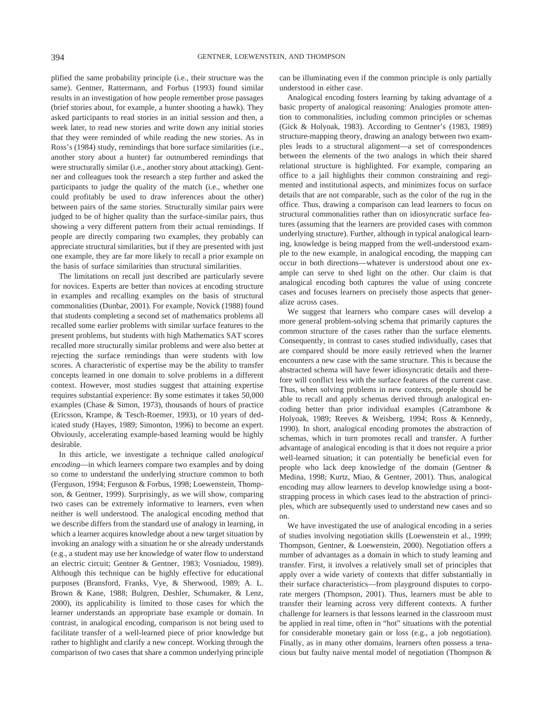plified the same probability principle (i.e., their structure was the same). Gentner, Rattermann, and Forbus (1993) found similar results in an investigation of how people remember prose passages (brief stories about, for example, a hunter shooting a hawk). They asked participants to read stories in an initial session and then, a week later, to read new stories and write down any initial stories that they were reminded of while reading the new stories. As in Ross's (1984) study, remindings that bore surface similarities (i.e., another story about a hunter) far outnumbered remindings that were structurally similar (i.e., another story about attacking). Gentner and colleagues took the research a step further and asked the participants to judge the quality of the match (i.e., whether one could profitably be used to draw inferences about the other) between pairs of the same stories. Structurally similar pairs were judged to be of higher quality than the surface-similar pairs, thus showing a very different pattern from their actual remindings. If people are directly comparing two examples, they probably can appreciate structural similarities, but if they are presented with just one example, they are far more likely to recall a prior example on the basis of surface similarities than structural similarities.

The limitations on recall just described are particularly severe for novices. Experts are better than novices at encoding structure in examples and recalling examples on the basis of structural commonalities (Dunbar, 2001). For example, Novick (1988) found that students completing a second set of mathematics problems all recalled some earlier problems with similar surface features to the present problems, but students with high Mathematics SAT scores recalled more structurally similar problems and were also better at rejecting the surface remindings than were students with low scores. A characteristic of expertise may be the ability to transfer concepts learned in one domain to solve problems in a different context. However, most studies suggest that attaining expertise requires substantial experience: By some estimates it takes 50,000 examples (Chase & Simon, 1973), thousands of hours of practice (Ericsson, Krampe, & Tesch-Roemer, 1993), or 10 years of dedicated study (Hayes, 1989; Simonton, 1996) to become an expert. Obviously, accelerating example-based learning would be highly desirable.

In this article, we investigate a technique called *analogical encoding*—in which learners compare two examples and by doing so come to understand the underlying structure common to both (Ferguson, 1994; Ferguson & Forbus, 1998; Loewenstein, Thompson, & Gentner, 1999). Surprisingly, as we will show, comparing two cases can be extremely informative to learners, even when neither is well understood. The analogical encoding method that we describe differs from the standard use of analogy in learning, in which a learner acquires knowledge about a new target situation by invoking an analogy with a situation he or she already understands (e.g., a student may use her knowledge of water flow to understand an electric circuit; Gentner & Gentner, 1983; Vosniadou, 1989). Although this technique can be highly effective for educational purposes (Bransford, Franks, Vye, & Sherwood, 1989; A. L. Brown & Kane, 1988; Bulgren, Deshler, Schumaker, & Lenz, 2000), its applicability is limited to those cases for which the learner understands an appropriate base example or domain. In contrast, in analogical encoding, comparison is not being used to facilitate transfer of a well-learned piece of prior knowledge but rather to highlight and clarify a new concept. Working through the comparison of two cases that share a common underlying principle

can be illuminating even if the common principle is only partially understood in either case.

Analogical encoding fosters learning by taking advantage of a basic property of analogical reasoning: Analogies promote attention to commonalities, including common principles or schemas (Gick & Holyoak, 1983). According to Gentner's (1983, 1989) structure-mapping theory, drawing an analogy between two examples leads to a structural alignment—a set of correspondences between the elements of the two analogs in which their shared relational structure is highlighted. For example, comparing an office to a jail highlights their common constraining and regimented and institutional aspects, and minimizes focus on surface details that are not comparable, such as the color of the rug in the office. Thus, drawing a comparison can lead learners to focus on structural commonalities rather than on idiosyncratic surface features (assuming that the learners are provided cases with common underlying structure). Further, although in typical analogical learning, knowledge is being mapped from the well-understood example to the new example, in analogical encoding, the mapping can occur in both directions—whatever is understood about one example can serve to shed light on the other. Our claim is that analogical encoding both captures the value of using concrete cases and focuses learners on precisely those aspects that generalize across cases.

We suggest that learners who compare cases will develop a more general problem-solving schema that primarily captures the common structure of the cases rather than the surface elements. Consequently, in contrast to cases studied individually, cases that are compared should be more easily retrieved when the learner encounters a new case with the same structure. This is because the abstracted schema will have fewer idiosyncratic details and therefore will conflict less with the surface features of the current case. Thus, when solving problems in new contexts, people should be able to recall and apply schemas derived through analogical encoding better than prior individual examples (Catrambone & Holyoak, 1989; Reeves & Weisberg, 1994; Ross & Kennedy, 1990). In short, analogical encoding promotes the abstraction of schemas, which in turn promotes recall and transfer. A further advantage of analogical encoding is that it does not require a prior well-learned situation; it can potentially be beneficial even for people who lack deep knowledge of the domain (Gentner & Medina, 1998; Kurtz, Miao, & Gentner, 2001). Thus, analogical encoding may allow learners to develop knowledge using a bootstrapping process in which cases lead to the abstraction of principles, which are subsequently used to understand new cases and so on.

We have investigated the use of analogical encoding in a series of studies involving negotiation skills (Loewenstein et al., 1999; Thompson, Gentner, & Loewenstein, 2000). Negotiation offers a number of advantages as a domain in which to study learning and transfer. First, it involves a relatively small set of principles that apply over a wide variety of contexts that differ substantially in their surface characteristics—from playground disputes to corporate mergers (Thompson, 2001). Thus, learners must be able to transfer their learning across very different contexts. A further challenge for learners is that lessons learned in the classroom must be applied in real time, often in "hot" situations with the potential for considerable monetary gain or loss (e.g., a job negotiation). Finally, as in many other domains, learners often possess a tenacious but faulty naive mental model of negotiation (Thompson &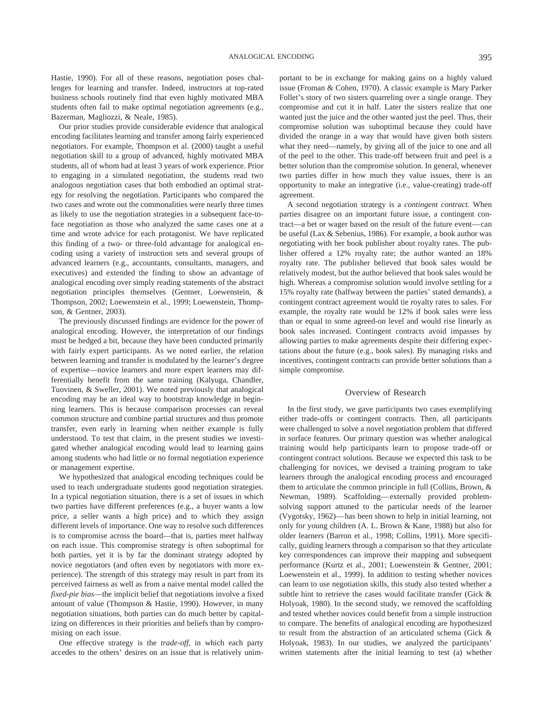Hastie, 1990). For all of these reasons, negotiation poses challenges for learning and transfer. Indeed, instructors at top-rated business schools routinely find that even highly motivated MBA students often fail to make optimal negotiation agreements (e.g., Bazerman, Magliozzi, & Neale, 1985).

Our prior studies provide considerable evidence that analogical encoding facilitates learning and transfer among fairly experienced negotiators. For example, Thompson et al. (2000) taught a useful negotiation skill to a group of advanced, highly motivated MBA students, all of whom had at least 3 years of work experience. Prior to engaging in a simulated negotiation, the students read two analogous negotiation cases that both embodied an optimal strategy for resolving the negotiation. Participants who compared the two cases and wrote out the commonalities were nearly three times as likely to use the negotiation strategies in a subsequent face-toface negotiation as those who analyzed the same cases one at a time and wrote advice for each protagonist. We have replicated this finding of a two- or three-fold advantage for analogical encoding using a variety of instruction sets and several groups of advanced learners (e.g., accountants, consultants, managers, and executives) and extended the finding to show an advantage of analogical encoding over simply reading statements of the abstract negotiation principles themselves (Gentner, Loewenstein, & Thompson, 2002; Loewenstein et al., 1999; Loewenstein, Thompson, & Gentner, 2003).

The previously discussed findings are evidence for the power of analogical encoding. However, the interpretation of our findings must be hedged a bit, because they have been conducted primarily with fairly expert participants. As we noted earlier, the relation between learning and transfer is modulated by the learner's degree of expertise—novice learners and more expert learners may differentially benefit from the same training (Kalyuga, Chandler, Tuovinen, & Sweller, 2001). We noted previously that analogical encoding may be an ideal way to bootstrap knowledge in beginning learners. This is because comparison processes can reveal common structure and combine partial structures and thus promote transfer, even early in learning when neither example is fully understood. To test that claim, in the present studies we investigated whether analogical encoding would lead to learning gains among students who had little or no formal negotiation experience or management expertise.

We hypothesized that analogical encoding techniques could be used to teach undergraduate students good negotiation strategies. In a typical negotiation situation, there is a set of issues in which two parties have different preferences (e.g., a buyer wants a low price, a seller wants a high price) and to which they assign different levels of importance. One way to resolve such differences is to compromise across the board—that is, parties meet halfway on each issue. This compromise strategy is often suboptimal for both parties, yet it is by far the dominant strategy adopted by novice negotiators (and often even by negotiators with more experience). The strength of this strategy may result in part from its perceived fairness as well as from a naive mental model called the *fixed-pie bias*—the implicit belief that negotiations involve a fixed amount of value (Thompson & Hastie, 1990). However, in many negotiation situations, both parties can do much better by capitalizing on differences in their priorities and beliefs than by compromising on each issue.

One effective strategy is the *trade-off*, in which each party accedes to the others' desires on an issue that is relatively unimportant to be in exchange for making gains on a highly valued issue (Froman & Cohen, 1970). A classic example is Mary Parker Follet's story of two sisters quarreling over a single orange. They compromise and cut it in half. Later the sisters realize that one wanted just the juice and the other wanted just the peel. Thus, their compromise solution was suboptimal because they could have divided the orange in a way that would have given both sisters what they need—namely, by giving all of the juice to one and all of the peel to the other. This trade-off between fruit and peel is a better solution than the compromise solution. In general, whenever two parties differ in how much they value issues, there is an opportunity to make an integrative (i.e., value-creating) trade-off agreement.

A second negotiation strategy is a *contingent contract.* When parties disagree on an important future issue, a contingent contract—a bet or wager based on the result of the future event—can be useful (Lax & Sebenius, 1986). For example, a book author was negotiating with her book publisher about royalty rates. The publisher offered a 12% royalty rate; the author wanted an 18% royalty rate. The publisher believed that book sales would be relatively modest, but the author believed that book sales would be high. Whereas a compromise solution would involve settling for a 15% royalty rate (halfway between the parties' stated demands), a contingent contract agreement would tie royalty rates to sales. For example, the royalty rate would be 12% if book sales were less than or equal to some agreed-on level and would rise linearly as book sales increased. Contingent contracts avoid impasses by allowing parties to make agreements despite their differing expectations about the future (e.g., book sales). By managing risks and incentives, contingent contracts can provide better solutions than a simple compromise.

## Overview of Research

In the first study, we gave participants two cases exemplifying either trade-offs or contingent contracts. Then, all participants were challenged to solve a novel negotiation problem that differed in surface features. Our primary question was whether analogical training would help participants learn to propose trade-off or contingent contract solutions. Because we expected this task to be challenging for novices, we devised a training program to take learners through the analogical encoding process and encouraged them to articulate the common principle in full (Collins, Brown, & Newman, 1989). Scaffolding—externally provided problemsolving support attuned to the particular needs of the learner (Vygotsky, 1962)—has been shown to help in initial learning, not only for young children (A. L. Brown & Kane, 1988) but also for older learners (Barron et al., 1998; Collins, 1991). More specifically, guiding learners through a comparison so that they articulate key correspondences can improve their mapping and subsequent performance (Kurtz et al., 2001; Loewenstein & Gentner, 2001; Loewenstein et al., 1999). In addition to testing whether novices can learn to use negotiation skills, this study also tested whether a subtle hint to retrieve the cases would facilitate transfer (Gick & Holyoak, 1980). In the second study, we removed the scaffolding and tested whether novices could benefit from a simple instruction to compare. The benefits of analogical encoding are hypothesized to result from the abstraction of an articulated schema (Gick & Holyoak, 1983). In our studies, we analyzed the participants' written statements after the initial learning to test (a) whether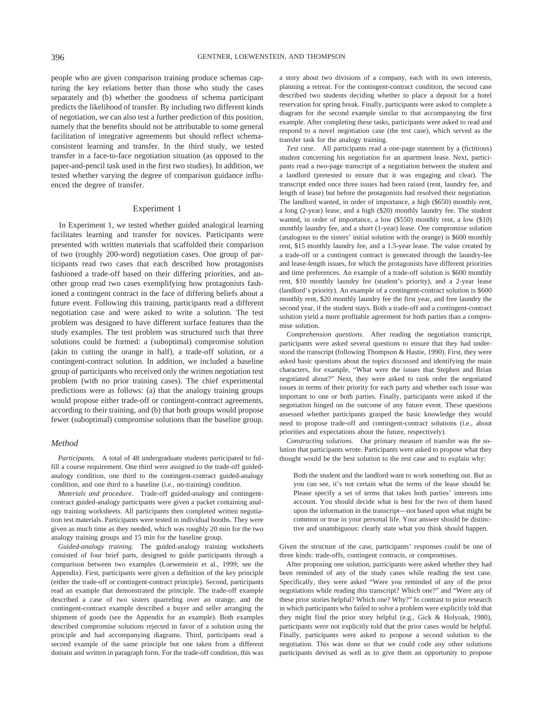people who are given comparison training produce schemas capturing the key relations better than those who study the cases separately and (b) whether the goodness of schema participant predicts the likelihood of transfer. By including two different kinds of negotiation, we can also test a further prediction of this position, namely that the benefits should not be attributable to some general facilitation of integrative agreements but should reflect schemaconsistent learning and transfer. In the third study, we tested transfer in a face-to-face negotiation situation (as opposed to the paper-and-pencil task used in the first two studies). In addition, we tested whether varying the degree of comparison guidance influenced the degree of transfer.

## Experiment 1

In Experiment 1, we tested whether guided analogical learning facilitates learning and transfer for novices. Participants were presented with written materials that scaffolded their comparison of two (roughly 200-word) negotiation cases. One group of participants read two cases that each described how protagonists fashioned a trade-off based on their differing priorities, and another group read two cases exemplifying how protagonists fashioned a contingent contract in the face of differing beliefs about a future event. Following this training, participants read a different negotiation case and were asked to write a solution. The test problem was designed to have different surface features than the study examples. The test problem was structured such that three solutions could be formed: a (suboptimal) compromise solution (akin to cutting the orange in half), a trade-off solution, or a contingent-contract solution. In addition, we included a baseline group of participants who received only the written negotiation test problem (with no prior training cases). The chief experimental predictions were as follows: (a) that the analogy training groups would propose either trade-off or contingent-contract agreements, according to their training, and (b) that both groups would propose fewer (suboptimal) compromise solutions than the baseline group.

## *Method*

*Participants.* A total of 48 undergraduate students participated to fulfill a course requirement. One third were assigned to the trade-off guidedanalogy condition, one third to the contingent-contract guided-analogy condition, and one third to a baseline (i.e., no-training) condition.

*Materials and procedure.* Trade-off guided-analogy and contingentcontract guided-analogy participants were given a packet containing analogy training worksheets. All participants then completed written negotiation test materials. Participants were tested in individual booths. They were given as much time as they needed, which was roughly 20 min for the two analogy training groups and 15 min for the baseline group.

*Guided-analogy training.* The guided-analogy training worksheets consisted of four brief parts, designed to guide participants through a comparison between two examples (Loewenstein et al., 1999; see the Appendix). First, participants were given a definition of the key principle (either the trade-off or contingent-contract principle). Second, participants read an example that demonstrated the principle. The trade-off example described a case of two sisters quarreling over an orange, and the contingent-contract example described a buyer and seller arranging the shipment of goods (see the Appendix for an example). Both examples described compromise solutions rejected in favor of a solution using the principle and had accompanying diagrams. Third, participants read a second example of the same principle but one taken from a different domain and written in paragraph form. For the trade-off condition, this was

a story about two divisions of a company, each with its own interests, planning a retreat. For the contingent-contract condition, the second case described two students deciding whether to place a deposit for a hotel reservation for spring break. Finally, participants were asked to complete a diagram for the second example similar to that accompanying the first example. After completing these tasks, participants were asked to read and respond to a novel negotiation case (the test case), which served as the transfer task for the analogy training.

*Test case.* All participants read a one-page statement by a (fictitious) student concerning his negotiation for an apartment lease. Next, participants read a two-page transcript of a negotiation between the student and a landlord (pretested to ensure that it was engaging and clear). The transcript ended once three issues had been raised (rent, laundry fee, and length of lease) but before the protagonists had resolved their negotiation. The landlord wanted, in order of importance, a high (\$650) monthly rent, a long (2-year) lease, and a high (\$20) monthly laundry fee. The student wanted, in order of importance, a low (\$550) monthly rent, a low (\$10) monthly laundry fee, and a short (1-year) lease. One compromise solution (analogous to the sisters' initial solution with the orange) is \$600 monthly rent, \$15 monthly laundry fee, and a 1.5-year lease. The value created by a trade-off or a contingent contract is generated through the laundry-fee and lease-length issues, for which the protagonists have different priorities and time preferences. An example of a trade-off solution is \$600 monthly rent, \$10 monthly laundry fee (student's priority), and a 2-year lease (landlord's priority). An example of a contingent-contract solution is \$600 monthly rent, \$20 monthly laundry fee the first year, and free laundry the second year, if the student stays. Both a trade-off and a contingent-contract solution yield a more profitable agreement for both parties than a compromise solution.

*Comprehension questions.* After reading the negotiation transcript, participants were asked several questions to ensure that they had understood the transcript (following Thompson & Hastie, 1990). First, they were asked basic questions about the topics discussed and identifying the main characters, for example, "What were the issues that Stephen and Brian negotiated about?" Next, they were asked to rank order the negotiated issues in terms of their priority for each party and whether each issue was important to one or both parties. Finally, participants were asked if the negotiation hinged on the outcome of any future event. These questions assessed whether participants grasped the basic knowledge they would need to propose trade-off and contingent-contract solutions (i.e., about priorities and expectations about the future, respectively).

*Constructing solutions.* Our primary measure of transfer was the solution that participants wrote. Participants were asked to propose what they thought would be the best solution to the test case and to explain why:

Both the student and the landlord want to work something out. But as you can see, it's not certain what the terms of the lease should be. Please specify a set of terms that takes both parties' interests into account. You should decide what is best for the two of them based upon the information in the transcript—not based upon what might be common or true in your personal life. Your answer should be distinctive and unambiguous: clearly state what you think should happen.

Given the structure of the case, participants' responses could be one of three kinds: trade-offs, contingent contracts, or compromises.

After proposing one solution, participants were asked whether they had been reminded of any of the study cases while reading the test case. Specifically, they were asked "Were you reminded of any of the prior negotiations while reading this transcript? Which one?" and "Were any of these prior stories helpful? Which one? Why?" In contrast to prior research in which participants who failed to solve a problem were explicitly told that they might find the prior story helpful (e.g., Gick & Holyoak, 1980), participants were not explicitly told that the prior cases would be helpful. Finally, participants were asked to propose a second solution to the negotiation. This was done so that we could code any other solutions participants devised as well as to give them an opportunity to propose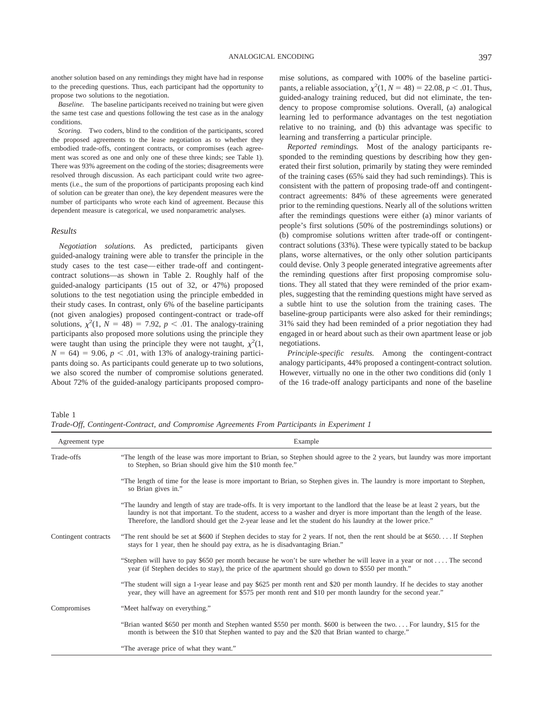another solution based on any remindings they might have had in response to the preceding questions. Thus, each participant had the opportunity to propose two solutions to the negotiation.

*Baseline.* The baseline participants received no training but were given the same test case and questions following the test case as in the analogy conditions.

*Scoring.* Two coders, blind to the condition of the participants, scored the proposed agreements to the lease negotiation as to whether they embodied trade-offs, contingent contracts, or compromises (each agreement was scored as one and only one of these three kinds; see Table 1). There was 93% agreement on the coding of the stories; disagreements were resolved through discussion. As each participant could write two agreements (i.e., the sum of the proportions of participants proposing each kind of solution can be greater than one), the key dependent measures were the number of participants who wrote each kind of agreement. Because this dependent measure is categorical, we used nonparametric analyses.

#### *Results*

*Negotiation solutions.* As predicted, participants given guided-analogy training were able to transfer the principle in the study cases to the test case—either trade-off and contingentcontract solutions—as shown in Table 2. Roughly half of the guided-analogy participants (15 out of 32, or 47%) proposed solutions to the test negotiation using the principle embedded in their study cases. In contrast, only 6% of the baseline participants (not given analogies) proposed contingent-contract or trade-off solutions,  $\chi^2(1, N = 48) = 7.92, p < .01$ . The analogy-training participants also proposed more solutions using the principle they were taught than using the principle they were not taught,  $\chi^2(1,$  $N = 64$ ) = 9.06,  $p < 0.01$ , with 13% of analogy-training participants doing so. As participants could generate up to two solutions, we also scored the number of compromise solutions generated. About 72% of the guided-analogy participants proposed compromise solutions, as compared with 100% of the baseline participants, a reliable association,  $\chi^2(1, N = 48) = 22.08, p < .01$ . Thus, guided-analogy training reduced, but did not eliminate, the tendency to propose compromise solutions. Overall, (a) analogical learning led to performance advantages on the test negotiation relative to no training, and (b) this advantage was specific to learning and transferring a particular principle.

*Reported remindings.* Most of the analogy participants responded to the reminding questions by describing how they generated their first solution, primarily by stating they were reminded of the training cases (65% said they had such remindings). This is consistent with the pattern of proposing trade-off and contingentcontract agreements: 84% of these agreements were generated prior to the reminding questions. Nearly all of the solutions written after the remindings questions were either (a) minor variants of people's first solutions (50% of the postremindings solutions) or (b) compromise solutions written after trade-off or contingentcontract solutions (33%). These were typically stated to be backup plans, worse alternatives, or the only other solution participants could devise. Only 3 people generated integrative agreements after the reminding questions after first proposing compromise solutions. They all stated that they were reminded of the prior examples, suggesting that the reminding questions might have served as a subtle hint to use the solution from the training cases. The baseline-group participants were also asked for their remindings; 31% said they had been reminded of a prior negotiation they had engaged in or heard about such as their own apartment lease or job negotiations.

*Principle-specific results.* Among the contingent-contract analogy participants, 44% proposed a contingent-contract solution. However, virtually no one in the other two conditions did (only 1 of the 16 trade-off analogy participants and none of the baseline

Table 1 *Trade-Off, Contingent-Contract, and Compromise Agreements From Participants in Experiment 1*

| Agreement type       | Example                                                                                                                                                                                                                                                                                                                                                                        |  |  |  |  |
|----------------------|--------------------------------------------------------------------------------------------------------------------------------------------------------------------------------------------------------------------------------------------------------------------------------------------------------------------------------------------------------------------------------|--|--|--|--|
| Trade-offs           | "The length of the lease was more important to Brian, so Stephen should agree to the 2 years, but laundry was more important<br>to Stephen, so Brian should give him the \$10 month fee."                                                                                                                                                                                      |  |  |  |  |
|                      | "The length of time for the lease is more important to Brian, so Stephen gives in. The laundry is more important to Stephen,<br>so Brian gives in."                                                                                                                                                                                                                            |  |  |  |  |
|                      | "The laundry and length of stay are trade-offs. It is very important to the landlord that the lease be at least 2 years, but the<br>laundry is not that important. To the student, access to a washer and dryer is more important than the length of the lease.<br>Therefore, the landlord should get the 2-year lease and let the student do his laundry at the lower price." |  |  |  |  |
| Contingent contracts | "The rent should be set at \$600 if Stephen decides to stay for 2 years. If not, then the rent should be at \$650 If Stephen<br>stays for 1 year, then he should pay extra, as he is disadvantaging Brian."                                                                                                                                                                    |  |  |  |  |
|                      | "Stephen will have to pay \$650 per month because he won't be sure whether he will leave in a year or not  The second<br>year (if Stephen decides to stay), the price of the apartment should go down to \$550 per month."                                                                                                                                                     |  |  |  |  |
|                      | "The student will sign a 1-year lease and pay \$625 per month rent and \$20 per month laundry. If he decides to stay another<br>year, they will have an agreement for \$575 per month rent and \$10 per month laundry for the second year."                                                                                                                                    |  |  |  |  |
| Compromises          | "Meet halfway on everything."                                                                                                                                                                                                                                                                                                                                                  |  |  |  |  |
|                      | "Brian wanted \$650 per month and Stephen wanted \$550 per month. \$600 is between the two For laundry, \$15 for the<br>month is between the \$10 that Stephen wanted to pay and the \$20 that Brian wanted to charge."                                                                                                                                                        |  |  |  |  |
|                      | "The average price of what they want."                                                                                                                                                                                                                                                                                                                                         |  |  |  |  |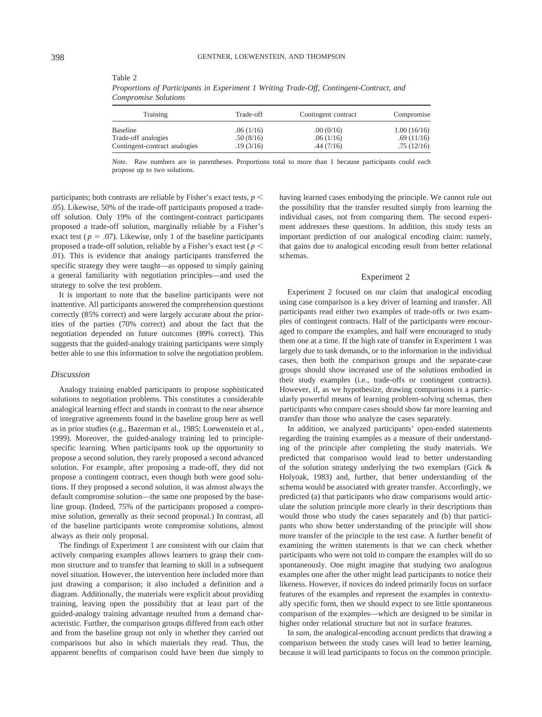| Training                      | Trade-off | Contingent contract | Compromise  |
|-------------------------------|-----------|---------------------|-------------|
| Baseline                      | .06(1/16) | .00(0/16)           | 1.00(16/16) |
| Trade-off analogies           | .50(8/16) | .06(1/16)           | .69(11/16)  |
| Contingent-contract analogies | .19(3/16) | .44(7/16)           | .75(12/16)  |

Table 2 *Proportions of Participants in Experiment 1 Writing Trade-Off, Contingent-Contract, and Compromise Solutions*

*Note.* Raw numbers are in parentheses. Proportions total to more than 1 because participants could each propose up to two solutions.

participants; both contrasts are reliable by Fisher's exact tests,  $p <$ .05). Likewise, 50% of the trade-off participants proposed a tradeoff solution. Only 19% of the contingent-contract participants proposed a trade-off solution, marginally reliable by a Fisher's exact test ( $p = .07$ ). Likewise, only 1 of the baseline participants proposed a trade-off solution, reliable by a Fisher's exact test ( $p <$ .01). This is evidence that analogy participants transferred the specific strategy they were taught—as opposed to simply gaining a general familiarity with negotiation principles—and used the strategy to solve the test problem.

It is important to note that the baseline participants were not inattentive. All participants answered the comprehension questions correctly (85% correct) and were largely accurate about the priorities of the parties (70% correct) and about the fact that the negotiation depended on future outcomes (89% correct). This suggests that the guided-analogy training participants were simply better able to use this information to solve the negotiation problem.

#### *Discussion*

Analogy training enabled participants to propose sophisticated solutions to negotiation problems. This constitutes a considerable analogical learning effect and stands in contrast to the near absence of integrative agreements found in the baseline group here as well as in prior studies (e.g., Bazerman et al., 1985; Loewenstein et al., 1999). Moreover, the guided-analogy training led to principlespecific learning. When participants took up the opportunity to propose a second solution, they rarely proposed a second advanced solution. For example, after proposing a trade-off, they did not propose a contingent contract, even though both were good solutions. If they proposed a second solution, it was almost always the default compromise solution—the same one proposed by the baseline group. (Indeed, 75% of the participants proposed a compromise solution, generally as their second proposal.) In contrast, all of the baseline participants wrote compromise solutions, almost always as their only proposal.

The findings of Experiment 1 are consistent with our claim that actively comparing examples allows learners to grasp their common structure and to transfer that learning to skill in a subsequent novel situation. However, the intervention here included more than just drawing a comparison; it also included a definition and a diagram. Additionally, the materials were explicit about providing training, leaving open the possibility that at least part of the guided-analogy training advantage resulted from a demand characteristic. Further, the comparison groups differed from each other and from the baseline group not only in whether they carried out comparisons but also in which materials they read. Thus, the apparent benefits of comparison could have been due simply to

having learned cases embodying the principle. We cannot rule out the possibility that the transfer resulted simply from learning the individual cases, not from comparing them. The second experiment addresses these questions. In addition, this study tests an important prediction of our analogical encoding claim: namely, that gains due to analogical encoding result from better relational schemas.

#### Experiment 2

Experiment 2 focused on our claim that analogical encoding using case comparison is a key driver of learning and transfer. All participants read either two examples of trade-offs or two examples of contingent contracts. Half of the participants were encouraged to compare the examples, and half were encouraged to study them one at a time. If the high rate of transfer in Experiment 1 was largely due to task demands, or to the information in the individual cases, then both the comparison groups and the separate-case groups should show increased use of the solutions embodied in their study examples (i.e., trade-offs or contingent contracts). However, if, as we hypothesize, drawing comparisons is a particularly powerful means of learning problem-solving schemas, then participants who compare cases should show far more learning and transfer than those who analyze the cases separately.

In addition, we analyzed participants' open-ended statements regarding the training examples as a measure of their understanding of the principle after completing the study materials. We predicted that comparison would lead to better understanding of the solution strategy underlying the two exemplars (Gick & Holyoak, 1983) and, further, that better understanding of the schema would be associated with greater transfer. Accordingly, we predicted (a) that participants who draw comparisons would articulate the solution principle more clearly in their descriptions than would those who study the cases separately and (b) that participants who show better understanding of the principle will show more transfer of the principle to the test case. A further benefit of examining the written statements is that we can check whether participants who were not told to compare the examples will do so spontaneously. One might imagine that studying two analogous examples one after the other might lead participants to notice their likeness. However, if novices do indeed primarily focus on surface features of the examples and represent the examples in contextually specific form, then we should expect to see little spontaneous comparison of the examples—which are designed to be similar in higher order relational structure but not in surface features.

In sum, the analogical-encoding account predicts that drawing a comparison between the study cases will lead to better learning, because it will lead participants to focus on the common principle.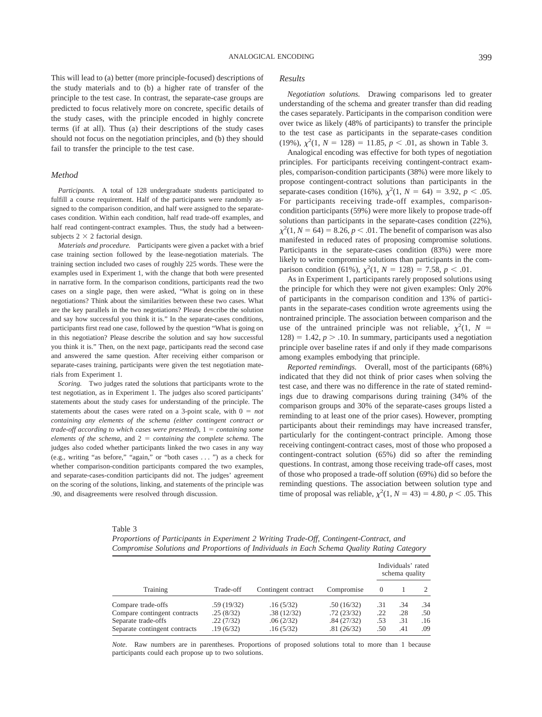This will lead to (a) better (more principle-focused) descriptions of the study materials and to (b) a higher rate of transfer of the principle to the test case. In contrast, the separate-case groups are predicted to focus relatively more on concrete, specific details of the study cases, with the principle encoded in highly concrete terms (if at all). Thus (a) their descriptions of the study cases should not focus on the negotiation principles, and (b) they should fail to transfer the principle to the test case.

#### *Method*

*Participants.* A total of 128 undergraduate students participated to fulfill a course requirement. Half of the participants were randomly assigned to the comparison condition, and half were assigned to the separatecases condition. Within each condition, half read trade-off examples, and half read contingent-contract examples. Thus, the study had a betweensubjects  $2 \times 2$  factorial design.

*Materials and procedure.* Participants were given a packet with a brief case training section followed by the lease-negotiation materials. The training section included two cases of roughly 225 words. These were the examples used in Experiment 1, with the change that both were presented in narrative form. In the comparison conditions, participants read the two cases on a single page, then were asked, "What is going on in these negotiations? Think about the similarities between these two cases. What are the key parallels in the two negotiations? Please describe the solution and say how successful you think it is." In the separate-cases conditions, participants first read one case, followed by the question "What is going on in this negotiation? Please describe the solution and say how successful you think it is." Then, on the next page, participants read the second case and answered the same question. After receiving either comparison or separate-cases training, participants were given the test negotiation materials from Experiment 1.

*Scoring.* Two judges rated the solutions that participants wrote to the test negotiation, as in Experiment 1. The judges also scored participants' statements about the study cases for understanding of the principle. The statements about the cases were rated on a 3-point scale, with  $0 = not$ *containing any elements of the schema (either contingent contract or trade-off according to which cases were presented*), 1 *containing some elements of the schema*, and  $2 =$  *containing the complete schema*. The judges also coded whether participants linked the two cases in any way (e.g., writing "as before," "again," or "both cases . . . ") as a check for whether comparison-condition participants compared the two examples, and separate-cases-condition participants did not. The judges' agreement on the scoring of the solutions, linking, and statements of the principle was .90, and disagreements were resolved through discussion.

## *Results*

*Negotiation solutions.* Drawing comparisons led to greater understanding of the schema and greater transfer than did reading the cases separately. Participants in the comparison condition were over twice as likely (48% of participants) to transfer the principle to the test case as participants in the separate-cases condition (19%),  $\chi^2(1, N = 128) = 11.85, p < .01$ , as shown in Table 3.

Analogical encoding was effective for both types of negotiation principles. For participants receiving contingent-contract examples, comparison-condition participants (38%) were more likely to propose contingent-contract solutions than participants in the separate-cases condition (16%),  $\chi^2(1, N = 64) = 3.92$ ,  $p < .05$ . For participants receiving trade-off examples, comparisoncondition participants (59%) were more likely to propose trade-off solutions than participants in the separate-cases condition (22%),  $\chi^2(1, N = 64) = 8.26, p < .01$ . The benefit of comparison was also manifested in reduced rates of proposing compromise solutions. Participants in the separate-cases condition (83%) were more likely to write compromise solutions than participants in the comparison condition (61%),  $\chi^2(1, N = 128) = 7.58, p < .01$ .

As in Experiment 1, participants rarely proposed solutions using the principle for which they were not given examples: Only 20% of participants in the comparison condition and 13% of participants in the separate-cases condition wrote agreements using the nontrained principle. The association between comparison and the use of the untrained principle was not reliable,  $\chi^2(1, N =$  $128$ ) = 1.42,  $p > 0.10$ . In summary, participants used a negotiation principle over baseline rates if and only if they made comparisons among examples embodying that principle.

*Reported remindings.* Overall, most of the participants (68%) indicated that they did not think of prior cases when solving the test case, and there was no difference in the rate of stated remindings due to drawing comparisons during training (34% of the comparison groups and 30% of the separate-cases groups listed a reminding to at least one of the prior cases). However, prompting participants about their remindings may have increased transfer, particularly for the contingent-contract principle. Among those receiving contingent-contract cases, most of those who proposed a contingent-contract solution (65%) did so after the reminding questions. In contrast, among those receiving trade-off cases, most of those who proposed a trade-off solution (69%) did so before the reminding questions. The association between solution type and time of proposal was reliable,  $\chi^2(1, N = 43) = 4.80, p < .05$ . This

#### Table 3

*Proportions of Participants in Experiment 2 Writing Trade-Off, Contingent-Contract, and Compromise Solutions and Proportions of Individuals in Each Schema Quality Rating Category*

|                               |            |                     |            | Individuals' rated<br>schema quality |     |     |
|-------------------------------|------------|---------------------|------------|--------------------------------------|-----|-----|
| Training                      | Trade-off  | Contingent contract | Compromise | $\theta$                             |     |     |
| Compare trade-offs            | .59(19/32) | .16(5/32)           | .50(16/32) | .31                                  | .34 | .34 |
| Compare contingent contracts  | .25(8/32)  | .38(12/32)          | .72(23/32) | .22                                  | .28 | .50 |
| Separate trade-offs           | .22(7/32)  | .06(2/32)           | .84(27/32) | .53                                  | .31 | .16 |
| Separate contingent contracts | .19(6/32)  | .16(5/32)           | .81(26/32) | .50                                  | .41 | .09 |

*Note.* Raw numbers are in parentheses. Proportions of proposed solutions total to more than 1 because participants could each propose up to two solutions.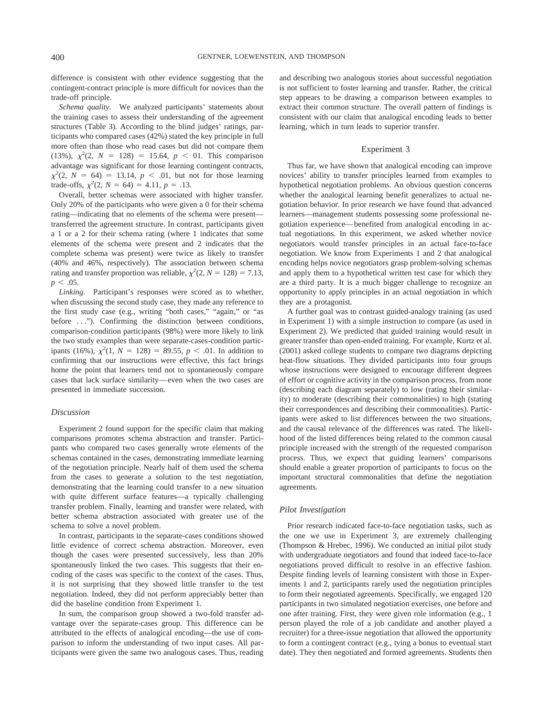difference is consistent with other evidence suggesting that the contingent-contract principle is more difficult for novices than the trade-off principle.

*Schema quality.* We analyzed participants' statements about the training cases to assess their understanding of the agreement structures (Table 3). According to the blind judges' ratings, participants who compared cases (42%) stated the key principle in full more often than those who read cases but did not compare them (13%),  $\chi^2(2, N = 128) = 15.64, p < 01$ . This comparison advantage was significant for those learning contingent contracts,  $\chi^2(2, N = 64) = 13.14, p < .01$ , but not for those learning trade-offs,  $\chi^2(2, N = 64) = 4.11, p = .13$ .

Overall, better schemas were associated with higher transfer. Only 20% of the participants who were given a 0 for their schema rating—indicating that no elements of the schema were present transferred the agreement structure. In contrast, participants given a 1 or a 2 for their schema rating (where 1 indicates that some elements of the schema were present and 2 indicates that the complete schema was present) were twice as likely to transfer (40% and 46%, respectively). The association between schema rating and transfer proportion was reliable,  $\chi^2(2, N = 128) = 7.13$ ,  $p < .05$ .

*Linking.* Participant's responses were scored as to whether, when discussing the second study case, they made any reference to the first study case (e.g., writing "both cases," "again," or "as before ..."). Confirming the distinction between conditions, comparison-condition participants (98%) were more likely to link the two study examples than were separate-cases-condition participants (16%),  $\chi^2(1, N = 128) = 89.55$ ,  $p < .01$ . In addition to confirming that our instructions were effective, this fact brings home the point that learners tend not to spontaneously compare cases that lack surface similarity—even when the two cases are presented in immediate succession.

## *Discussion*

Experiment 2 found support for the specific claim that making comparisons promotes schema abstraction and transfer. Participants who compared two cases generally wrote elements of the schemas contained in the cases, demonstrating immediate learning of the negotiation principle. Nearly half of them used the schema from the cases to generate a solution to the test negotiation, demonstrating that the learning could transfer to a new situation with quite different surface features—a typically challenging transfer problem. Finally, learning and transfer were related, with better schema abstraction associated with greater use of the schema to solve a novel problem.

In contrast, participants in the separate-cases conditions showed little evidence of correct schema abstraction. Moreover, even though the cases were presented successively, less than 20% spontaneously linked the two cases. This suggests that their encoding of the cases was specific to the context of the cases. Thus, it is not surprising that they showed little transfer to the test negotiation. Indeed, they did not perform appreciably better than did the baseline condition from Experiment 1.

In sum, the comparison group showed a two-fold transfer advantage over the separate-cases group. This difference can be attributed to the effects of analogical encoding—the use of comparison to inform the understanding of two input cases. All participants were given the same two analogous cases. Thus, reading and describing two analogous stories about successful negotiation is not sufficient to foster learning and transfer. Rather, the critical step appears to be drawing a comparison between examples to extract their common structure. The overall pattern of findings is consistent with our claim that analogical encoding leads to better learning, which in turn leads to superior transfer.

## Experiment 3

Thus far, we have shown that analogical encoding can improve novices' ability to transfer principles learned from examples to hypothetical negotiation problems. An obvious question concerns whether the analogical learning benefit generalizes to actual negotiation behavior. In prior research we have found that advanced learners—management students possessing some professional negotiation experience—benefited from analogical encoding in actual negotiations. In this experiment, we asked whether novice negotiators would transfer principles in an actual face-to-face negotiation. We know from Experiments 1 and 2 that analogical encoding helps novice negotiators grasp problem-solving schemas and apply them to a hypothetical written test case for which they are a third party. It is a much bigger challenge to recognize an opportunity to apply principles in an actual negotiation in which they are a protagonist.

A further goal was to contrast guided-analogy training (as used in Experiment 1) with a simple instruction to compare (as used in Experiment 2). We predicted that guided training would result in greater transfer than open-ended training. For example, Kurtz et al. (2001) asked college students to compare two diagrams depicting heat-flow situations. They divided participants into four groups whose instructions were designed to encourage different degrees of effort or cognitive activity in the comparison process, from none (describing each diagram separately) to low (rating their similarity) to moderate (describing their commonalities) to high (stating their correspondences and describing their commonalities). Participants were asked to list differences between the two situations, and the causal relevance of the differences was rated. The likelihood of the listed differences being related to the common causal principle increased with the strength of the requested comparison process. Thus, we expect that guiding learners' comparisons should enable a greater proportion of participants to focus on the important structural commonalities that define the negotiation agreements.

## *Pilot Investigation*

Prior research indicated face-to-face negotiation tasks, such as the one we use in Experiment 3, are extremely challenging (Thompson & Hrebec, 1996). We conducted an initial pilot study with undergraduate negotiators and found that indeed face-to-face negotiations proved difficult to resolve in an effective fashion. Despite finding levels of learning consistent with those in Experiments 1 and 2, participants rarely used the negotiation principles to form their negotiated agreements. Specifically, we engaged 120 participants in two simulated negotiation exercises, one before and one after training. First, they were given role information (e.g., 1 person played the role of a job candidate and another played a recruiter) for a three-issue negotiation that allowed the opportunity to form a contingent contract (e.g., tying a bonus to eventual start date). They then negotiated and formed agreements. Students then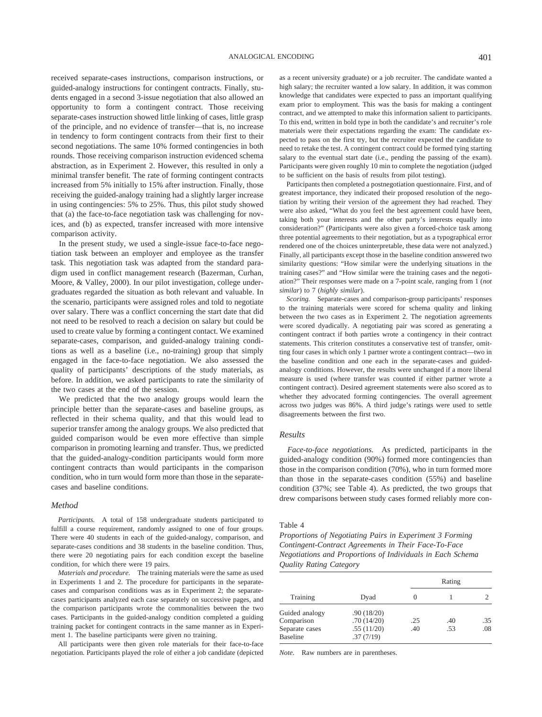received separate-cases instructions, comparison instructions, or guided-analogy instructions for contingent contracts. Finally, students engaged in a second 3-issue negotiation that also allowed an opportunity to form a contingent contract. Those receiving separate-cases instruction showed little linking of cases, little grasp of the principle, and no evidence of transfer—that is, no increase in tendency to form contingent contracts from their first to their second negotiations. The same 10% formed contingencies in both rounds. Those receiving comparison instruction evidenced schema abstraction, as in Experiment 2. However, this resulted in only a minimal transfer benefit. The rate of forming contingent contracts increased from 5% initially to 15% after instruction. Finally, those receiving the guided-analogy training had a slightly larger increase in using contingencies: 5% to 25%. Thus, this pilot study showed that (a) the face-to-face negotiation task was challenging for novices, and (b) as expected, transfer increased with more intensive comparison activity.

In the present study, we used a single-issue face-to-face negotiation task between an employer and employee as the transfer task. This negotiation task was adapted from the standard paradigm used in conflict management research (Bazerman, Curhan, Moore, & Valley, 2000). In our pilot investigation, college undergraduates regarded the situation as both relevant and valuable. In the scenario, participants were assigned roles and told to negotiate over salary. There was a conflict concerning the start date that did not need to be resolved to reach a decision on salary but could be used to create value by forming a contingent contact. We examined separate-cases, comparison, and guided-analogy training conditions as well as a baseline (i.e., no-training) group that simply engaged in the face-to-face negotiation. We also assessed the quality of participants' descriptions of the study materials, as before. In addition, we asked participants to rate the similarity of the two cases at the end of the session.

We predicted that the two analogy groups would learn the principle better than the separate-cases and baseline groups, as reflected in their schema quality, and that this would lead to superior transfer among the analogy groups. We also predicted that guided comparison would be even more effective than simple comparison in promoting learning and transfer. Thus, we predicted that the guided-analogy-condition participants would form more contingent contracts than would participants in the comparison condition, who in turn would form more than those in the separatecases and baseline conditions.

#### *Method*

*Participants.* A total of 158 undergraduate students participated to fulfill a course requirement, randomly assigned to one of four groups. There were 40 students in each of the guided-analogy, comparison, and separate-cases conditions and 38 students in the baseline condition. Thus, there were 20 negotiating pairs for each condition except the baseline condition, for which there were 19 pairs.

*Materials and procedure.* The training materials were the same as used in Experiments 1 and 2. The procedure for participants in the separatecases and comparison conditions was as in Experiment 2; the separatecases participants analyzed each case separately on successive pages, and the comparison participants wrote the commonalities between the two cases. Participants in the guided-analogy condition completed a guiding training packet for contingent contracts in the same manner as in Experiment 1. The baseline participants were given no training.

All participants were then given role materials for their face-to-face negotiation. Participants played the role of either a job candidate (depicted as a recent university graduate) or a job recruiter. The candidate wanted a high salary; the recruiter wanted a low salary. In addition, it was common knowledge that candidates were expected to pass an important qualifying exam prior to employment. This was the basis for making a contingent contract, and we attempted to make this information salient to participants. To this end, written in bold type in both the candidate's and recruiter's role materials were their expectations regarding the exam: The candidate expected to pass on the first try, but the recruiter expected the candidate to need to retake the test. A contingent contract could be formed tying starting salary to the eventual start date (i.e., pending the passing of the exam). Participants were given roughly 10 min to complete the negotiation (judged to be sufficient on the basis of results from pilot testing).

Participants then completed a postnegotiation questionnaire. First, and of greatest importance, they indicated their proposed resolution of the negotiation by writing their version of the agreement they had reached. They were also asked, "What do you feel the best agreement could have been, taking both your interests and the other party's interests equally into consideration?" (Participants were also given a forced-choice task among three potential agreements to their negotiation, but as a typographical error rendered one of the choices uninterpretable, these data were not analyzed.) Finally, all participants except those in the baseline condition answered two similarity questions: "How similar were the underlying situations in the training cases?" and "How similar were the training cases and the negotiation?" Their responses were made on a 7-point scale, ranging from 1 (*not similar*) to 7 (*highly similar*).

*Scoring.* Separate-cases and comparison-group participants' responses to the training materials were scored for schema quality and linking between the two cases as in Experiment 2. The negotiation agreements were scored dyadically. A negotiating pair was scored as generating a contingent contract if both parties wrote a contingency in their contract statements. This criterion constitutes a conservative test of transfer, omitting four cases in which only 1 partner wrote a contingent contract—two in the baseline condition and one each in the separate-cases and guidedanalogy conditions. However, the results were unchanged if a more liberal measure is used (where transfer was counted if either partner wrote a contingent contract). Desired agreement statements were also scored as to whether they advocated forming contingencies. The overall agreement across two judges was 86%. A third judge's ratings were used to settle disagreements between the first two.

## *Results*

*Face-to-face negotiations.* As predicted, participants in the guided-analogy condition (90%) formed more contingencies than those in the comparison condition (70%), who in turn formed more than those in the separate-cases condition (55%) and baseline condition (37%; see Table 4). As predicted, the two groups that drew comparisons between study cases formed reliably more con-

## Table 4

*Proportions of Negotiating Pairs in Experiment 3 Forming Contingent-Contract Agreements in Their Face-To-Face Negotiations and Proportions of Individuals in Each Schema Quality Rating Category*

|                                                                   | Rating                                              |            |            |            |  |
|-------------------------------------------------------------------|-----------------------------------------------------|------------|------------|------------|--|
| Training                                                          | Dyad                                                | $\theta$   |            |            |  |
| Guided analogy<br>Comparison<br>Separate cases<br><b>Baseline</b> | .90(18/20)<br>.70(14/20)<br>.55(11/20)<br>.37(7/19) | .25<br>.40 | .40<br>.53 | .35<br>.08 |  |

*Note.* Raw numbers are in parentheses.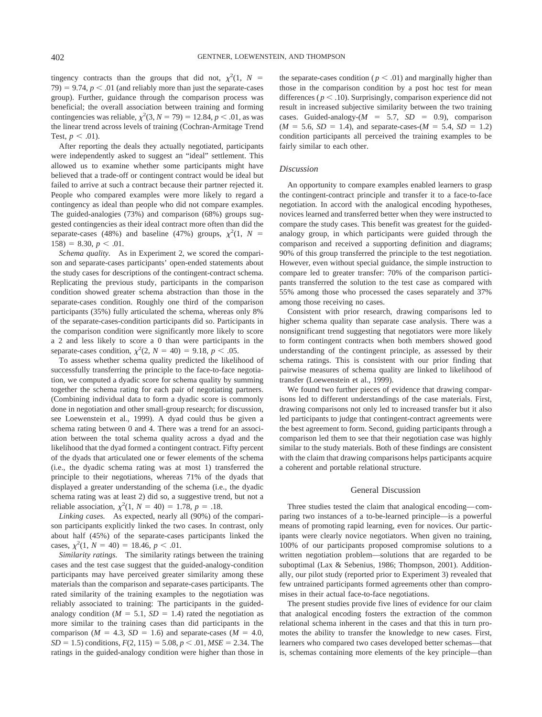tingency contracts than the groups that did not,  $\chi^2(1, N =$  $79$ ) = 9.74,  $p < 0.01$  (and reliably more than just the separate-cases group). Further, guidance through the comparison process was beneficial; the overall association between training and forming contingencies was reliable,  $\chi^2(3, N = 79) = 12.84, p < .01$ , as was the linear trend across levels of training (Cochran-Armitage Trend Test,  $p < .01$ ).

After reporting the deals they actually negotiated, participants were independently asked to suggest an "ideal" settlement. This allowed us to examine whether some participants might have believed that a trade-off or contingent contract would be ideal but failed to arrive at such a contract because their partner rejected it. People who compared examples were more likely to regard a contingency as ideal than people who did not compare examples. The guided-analogies (73%) and comparison (68%) groups suggested contingencies as their ideal contract more often than did the separate-cases (48%) and baseline (47%) groups,  $\chi^2(1, N =$  $158$ ) = 8.30,  $p < .01$ .

*Schema quality.* As in Experiment 2, we scored the comparison and separate-cases participants' open-ended statements about the study cases for descriptions of the contingent-contract schema. Replicating the previous study, participants in the comparison condition showed greater schema abstraction than those in the separate-cases condition. Roughly one third of the comparison participants (35%) fully articulated the schema, whereas only 8% of the separate-cases-condition participants did so. Participants in the comparison condition were significantly more likely to score a 2 and less likely to score a 0 than were participants in the separate-cases condition,  $\chi^2(2, N = 40) = 9.18$ ,  $p < .05$ .

To assess whether schema quality predicted the likelihood of successfully transferring the principle to the face-to-face negotiation, we computed a dyadic score for schema quality by summing together the schema rating for each pair of negotiating partners. (Combining individual data to form a dyadic score is commonly done in negotiation and other small-group research; for discussion, see Loewenstein et al., 1999). A dyad could thus be given a schema rating between 0 and 4. There was a trend for an association between the total schema quality across a dyad and the likelihood that the dyad formed a contingent contract. Fifty percent of the dyads that articulated one or fewer elements of the schema (i.e., the dyadic schema rating was at most 1) transferred the principle to their negotiations, whereas 71% of the dyads that displayed a greater understanding of the schema (i.e., the dyadic schema rating was at least 2) did so, a suggestive trend, but not a reliable association,  $\chi^2(1, N = 40) = 1.78$ ,  $p = .18$ .

*Linking cases.* As expected, nearly all (90%) of the comparison participants explicitly linked the two cases. In contrast, only about half (45%) of the separate-cases participants linked the cases,  $\chi^2(1, N = 40) = 18.46, p < .01$ .

*Similarity ratings.* The similarity ratings between the training cases and the test case suggest that the guided-analogy-condition participants may have perceived greater similarity among these materials than the comparison and separate-cases participants. The rated similarity of the training examples to the negotiation was reliably associated to training: The participants in the guidedanalogy condition ( $M = 5.1$ ,  $SD = 1.4$ ) rated the negotiation as more similar to the training cases than did participants in the comparison ( $M = 4.3$ ,  $SD = 1.6$ ) and separate-cases ( $M = 4.0$ ,  $SD = 1.5$ ) conditions,  $F(2, 115) = 5.08$ ,  $p < .01$ ,  $MSE = 2.34$ . The ratings in the guided-analogy condition were higher than those in

the separate-cases condition ( $p < .01$ ) and marginally higher than those in the comparison condition by a post hoc test for mean differences ( $p < .10$ ). Surprisingly, comparison experience did not result in increased subjective similarity between the two training cases. Guided-analogy- $(M = 5.7, SD = 0.9)$ , comparison  $(M = 5.6, SD = 1.4)$ , and separate-cases- $(M = 5.4, SD = 1.2)$ condition participants all perceived the training examples to be fairly similar to each other.

## *Discussion*

An opportunity to compare examples enabled learners to grasp the contingent-contract principle and transfer it to a face-to-face negotiation. In accord with the analogical encoding hypotheses, novices learned and transferred better when they were instructed to compare the study cases. This benefit was greatest for the guidedanalogy group, in which participants were guided through the comparison and received a supporting definition and diagrams; 90% of this group transferred the principle to the test negotiation. However, even without special guidance, the simple instruction to compare led to greater transfer: 70% of the comparison participants transferred the solution to the test case as compared with 55% among those who processed the cases separately and 37% among those receiving no cases.

Consistent with prior research, drawing comparisons led to higher schema quality than separate case analysis. There was a nonsignificant trend suggesting that negotiators were more likely to form contingent contracts when both members showed good understanding of the contingent principle, as assessed by their schema ratings. This is consistent with our prior finding that pairwise measures of schema quality are linked to likelihood of transfer (Loewenstein et al., 1999).

We found two further pieces of evidence that drawing comparisons led to different understandings of the case materials. First, drawing comparisons not only led to increased transfer but it also led participants to judge that contingent-contract agreements were the best agreement to form. Second, guiding participants through a comparison led them to see that their negotiation case was highly similar to the study materials. Both of these findings are consistent with the claim that drawing comparisons helps participants acquire a coherent and portable relational structure.

## General Discussion

Three studies tested the claim that analogical encoding—comparing two instances of a to-be-learned principle—is a powerful means of promoting rapid learning, even for novices. Our participants were clearly novice negotiators. When given no training, 100% of our participants proposed compromise solutions to a written negotiation problem—solutions that are regarded to be suboptimal (Lax & Sebenius, 1986; Thompson, 2001). Additionally, our pilot study (reported prior to Experiment 3) revealed that few untrained participants formed agreements other than compromises in their actual face-to-face negotiations.

The present studies provide five lines of evidence for our claim that analogical encoding fosters the extraction of the common relational schema inherent in the cases and that this in turn promotes the ability to transfer the knowledge to new cases. First, learners who compared two cases developed better schemas—that is, schemas containing more elements of the key principle—than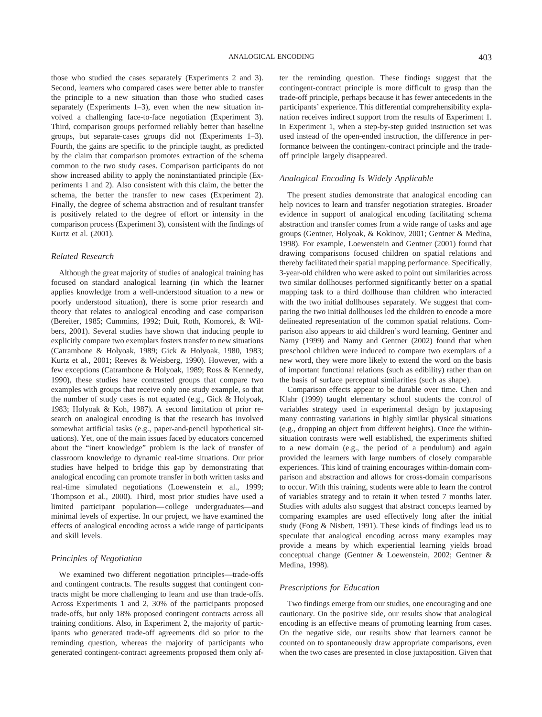those who studied the cases separately (Experiments 2 and 3). Second, learners who compared cases were better able to transfer the principle to a new situation than those who studied cases separately (Experiments 1–3), even when the new situation involved a challenging face-to-face negotiation (Experiment 3). Third, comparison groups performed reliably better than baseline groups, but separate-cases groups did not (Experiments 1–3). Fourth, the gains are specific to the principle taught, as predicted by the claim that comparison promotes extraction of the schema common to the two study cases. Comparison participants do not show increased ability to apply the noninstantiated principle (Experiments 1 and 2). Also consistent with this claim, the better the schema, the better the transfer to new cases (Experiment 2). Finally, the degree of schema abstraction and of resultant transfer is positively related to the degree of effort or intensity in the comparison process (Experiment 3), consistent with the findings of Kurtz et al. (2001).

# *Related Research*

Although the great majority of studies of analogical training has focused on standard analogical learning (in which the learner applies knowledge from a well-understood situation to a new or poorly understood situation), there is some prior research and theory that relates to analogical encoding and case comparison (Bereiter, 1985; Cummins, 1992; Duit, Roth, Komorek, & Wilbers, 2001). Several studies have shown that inducing people to explicitly compare two exemplars fosters transfer to new situations (Catrambone & Holyoak, 1989; Gick & Holyoak, 1980, 1983; Kurtz et al., 2001; Reeves & Weisberg, 1990). However, with a few exceptions (Catrambone & Holyoak, 1989; Ross & Kennedy, 1990), these studies have contrasted groups that compare two examples with groups that receive only one study example, so that the number of study cases is not equated (e.g., Gick & Holyoak, 1983; Holyoak & Koh, 1987). A second limitation of prior research on analogical encoding is that the research has involved somewhat artificial tasks (e.g., paper-and-pencil hypothetical situations). Yet, one of the main issues faced by educators concerned about the "inert knowledge" problem is the lack of transfer of classroom knowledge to dynamic real-time situations. Our prior studies have helped to bridge this gap by demonstrating that analogical encoding can promote transfer in both written tasks and real-time simulated negotiations (Loewenstein et al., 1999; Thompson et al., 2000). Third, most prior studies have used a limited participant population—college undergraduates—and minimal levels of expertise. In our project, we have examined the effects of analogical encoding across a wide range of participants and skill levels.

## *Principles of Negotiation*

We examined two different negotiation principles—trade-offs and contingent contracts. The results suggest that contingent contracts might be more challenging to learn and use than trade-offs. Across Experiments 1 and 2, 30% of the participants proposed trade-offs, but only 18% proposed contingent contracts across all training conditions. Also, in Experiment 2, the majority of participants who generated trade-off agreements did so prior to the reminding question, whereas the majority of participants who generated contingent-contract agreements proposed them only after the reminding question. These findings suggest that the contingent-contract principle is more difficult to grasp than the trade-off principle, perhaps because it has fewer antecedents in the participants' experience. This differential comprehensibility explanation receives indirect support from the results of Experiment 1. In Experiment 1, when a step-by-step guided instruction set was used instead of the open-ended instruction, the difference in performance between the contingent-contract principle and the tradeoff principle largely disappeared.

## *Analogical Encoding Is Widely Applicable*

The present studies demonstrate that analogical encoding can help novices to learn and transfer negotiation strategies. Broader evidence in support of analogical encoding facilitating schema abstraction and transfer comes from a wide range of tasks and age groups (Gentner, Holyoak, & Kokinov, 2001; Gentner & Medina, 1998). For example, Loewenstein and Gentner (2001) found that drawing comparisons focused children on spatial relations and thereby facilitated their spatial mapping performance. Specifically, 3-year-old children who were asked to point out similarities across two similar dollhouses performed significantly better on a spatial mapping task to a third dollhouse than children who interacted with the two initial dollhouses separately. We suggest that comparing the two initial dollhouses led the children to encode a more delineated representation of the common spatial relations. Comparison also appears to aid children's word learning. Gentner and Namy (1999) and Namy and Gentner (2002) found that when preschool children were induced to compare two exemplars of a new word, they were more likely to extend the word on the basis of important functional relations (such as edibility) rather than on the basis of surface perceptual similarities (such as shape).

Comparison effects appear to be durable over time. Chen and Klahr (1999) taught elementary school students the control of variables strategy used in experimental design by juxtaposing many contrasting variations in highly similar physical situations (e.g., dropping an object from different heights). Once the withinsituation contrasts were well established, the experiments shifted to a new domain (e.g., the period of a pendulum) and again provided the learners with large numbers of closely comparable experiences. This kind of training encourages within-domain comparison and abstraction and allows for cross-domain comparisons to occur. With this training, students were able to learn the control of variables strategy and to retain it when tested 7 months later. Studies with adults also suggest that abstract concepts learned by comparing examples are used effectively long after the initial study (Fong & Nisbett, 1991). These kinds of findings lead us to speculate that analogical encoding across many examples may provide a means by which experiential learning yields broad conceptual change (Gentner & Loewenstein, 2002; Gentner & Medina, 1998).

# *Prescriptions for Education*

Two findings emerge from our studies, one encouraging and one cautionary. On the positive side, our results show that analogical encoding is an effective means of promoting learning from cases. On the negative side, our results show that learners cannot be counted on to spontaneously draw appropriate comparisons, even when the two cases are presented in close juxtaposition. Given that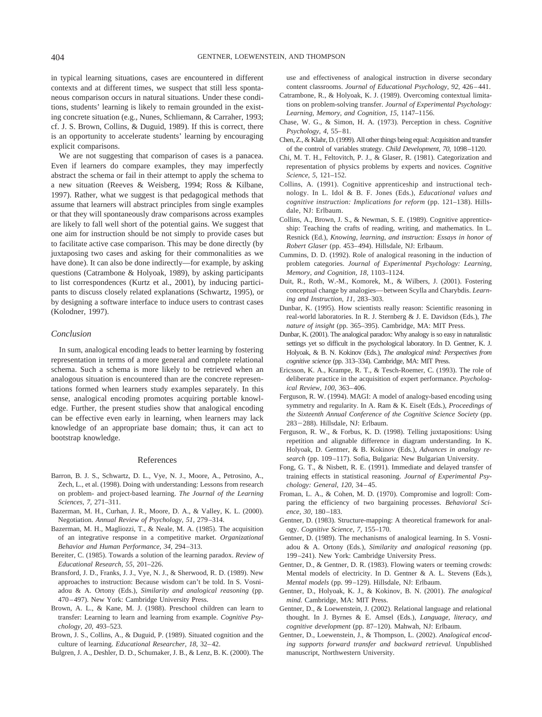in typical learning situations, cases are encountered in different contexts and at different times, we suspect that still less spontaneous comparison occurs in natural situations. Under these conditions, students' learning is likely to remain grounded in the existing concrete situation (e.g., Nunes, Schliemann, & Carraher, 1993; cf. J. S. Brown, Collins, & Duguid, 1989). If this is correct, there is an opportunity to accelerate students' learning by encouraging explicit comparisons.

We are not suggesting that comparison of cases is a panacea. Even if learners do compare examples, they may imperfectly abstract the schema or fail in their attempt to apply the schema to a new situation (Reeves & Weisberg, 1994; Ross & Kilbane, 1997). Rather, what we suggest is that pedagogical methods that assume that learners will abstract principles from single examples or that they will spontaneously draw comparisons across examples are likely to fall well short of the potential gains. We suggest that one aim for instruction should be not simply to provide cases but to facilitate active case comparison. This may be done directly (by juxtaposing two cases and asking for their commonalities as we have done). It can also be done indirectly—for example, by asking questions (Catrambone & Holyoak, 1989), by asking participants to list correspondences (Kurtz et al., 2001), by inducing participants to discuss closely related explanations (Schwartz, 1995), or by designing a software interface to induce users to contrast cases (Kolodner, 1997).

## *Conclusion*

In sum, analogical encoding leads to better learning by fostering representation in terms of a more general and complete relational schema. Such a schema is more likely to be retrieved when an analogous situation is encountered than are the concrete representations formed when learners study examples separately. In this sense, analogical encoding promotes acquiring portable knowledge. Further, the present studies show that analogical encoding can be effective even early in learning, when learners may lack knowledge of an appropriate base domain; thus, it can act to bootstrap knowledge.

## References

- Barron, B. J. S., Schwartz, D. L., Vye, N. J., Moore, A., Petrosino, A., Zech, L., et al. (1998). Doing with understanding: Lessons from research on problem- and project-based learning. *The Journal of the Learning Sciences, 7,* 271–311.
- Bazerman, M. H., Curhan, J. R., Moore, D. A., & Valley, K. L. (2000). Negotiation. *Annual Review of Psychology, 51,* 279–314.
- Bazerman, M. H., Magliozzi, T., & Neale, M. A. (1985). The acquisition of an integrative response in a competitive market. *Organizational Behavior and Human Performance, 34,* 294–313.
- Bereiter, C. (1985). Towards a solution of the learning paradox. *Review of Educational Research, 55,* 201–226.
- Bransford, J. D., Franks, J. J., Vye, N. J., & Sherwood, R. D. (1989). New approaches to instruction: Because wisdom can't be told. In S. Vosniadou & A. Ortony (Eds.), *Similarity and analogical reasoning* (pp. 470–497). New York: Cambridge University Press.
- Brown, A. L., & Kane, M. J. (1988). Preschool children can learn to transfer: Learning to learn and learning from example. *Cognitive Psychology, 20,* 493–523.
- Brown, J. S., Collins, A., & Duguid, P. (1989). Situated cognition and the culture of learning. *Educational Researcher, 18,* 32–42.
- Bulgren, J. A., Deshler, D. D., Schumaker, J. B., & Lenz, B. K. (2000). The

use and effectiveness of analogical instruction in diverse secondary content classrooms. *Journal of Educational Psychology, 92,* 426–441.

- Catrambone, R., & Holyoak, K. J. (1989). Overcoming contextual limitations on problem-solving transfer. *Journal of Experimental Psychology: Learning, Memory, and Cognition, 15,* 1147–1156.
- Chase, W. G., & Simon, H. A. (1973). Perception in chess. *Cognitive Psychology, 4,* 55–81.
- Chen, Z., & Klahr, D. (1999). All other things being equal: Acquisition and transfer of the control of variables strategy. *Child Development, 70,* 1098–1120.
- Chi, M. T. H., Feltovitch, P. J., & Glaser, R. (1981). Categorization and representation of physics problems by experts and novices. *Cognitive Science, 5,* 121–152.
- Collins, A. (1991). Cognitive apprenticeship and instructional technology. In L. Idol & B. F. Jones (Eds.), *Educational values and cognitive instruction: Implications for reform* (pp. 121–138). Hillsdale, NJ: Erlbaum.
- Collins, A., Brown, J. S., & Newman, S. E. (1989). Cognitive apprenticeship: Teaching the crafts of reading, writing, and mathematics. In L. Resnick (Ed.), *Knowing, learning, and instruction: Essays in honor of Robert Glaser* (pp. 453–494). Hillsdale, NJ: Erlbaum.
- Cummins, D. D. (1992). Role of analogical reasoning in the induction of problem categories. *Journal of Experimental Psychology: Learning, Memory, and Cognition, 18,* 1103–1124.
- Duit, R., Roth, W.-M., Komorek, M., & Wilbers, J. (2001). Fostering conceptual change by analogies—between Scylla and Charybdis. *Learning and Instruction, 11,* 283–303.
- Dunbar, K. (1995). How scientists really reason: Scientific reasoning in real-world laboratories. In R. J. Sternberg & J. E. Davidson (Eds.), *The nature of insight* (pp. 365–395). Cambridge, MA: MIT Press.
- Dunbar, K. (2001). The analogical paradox: Why analogy is so easy in naturalistic settings yet so difficult in the psychological laboratory. In D. Gentner, K. J. Holyoak, & B. N. Kokinov (Eds.), *The analogical mind: Perspectives from cognitive science* (pp. 313–334). Cambridge, MA: MIT Press.
- Ericsson, K. A., Krampe, R. T., & Tesch-Roemer, C. (1993). The role of deliberate practice in the acquisition of expert performance. *Psychological Review, 100,* 363–406.
- Ferguson, R. W. (1994). MAGI: A model of analogy-based encoding using symmetry and regularity. In A. Ram & K. Eiselt (Eds.), *Proceedings of the Sixteenth Annual Conference of the Cognitive Science Society* (pp. 283-288). Hillsdale, NJ: Erlbaum.
- Ferguson, R. W., & Forbus, K. D. (1998). Telling juxtapositions: Using repetition and alignable difference in diagram understanding. In K. Holyoak, D. Gentner, & B. Kokinov (Eds.), *Advances in analogy research* (pp. 109–117). Sofia, Bulgaria: New Bulgarian University.
- Fong, G. T., & Nisbett, R. E. (1991). Immediate and delayed transfer of training effects in statistical reasoning. *Journal of Experimental Psychology: General, 120,* 34–45.
- Froman, L. A., & Cohen, M. D. (1970). Compromise and logroll: Comparing the efficiency of two bargaining processes. *Behavioral Science, 30,* 180–183.
- Gentner, D. (1983). Structure-mapping: A theoretical framework for analogy. *Cognitive Science, 7,* 155–170.
- Gentner, D. (1989). The mechanisms of analogical learning. In S. Vosniadou & A. Ortony (Eds.), *Similarity and analogical reasoning* (pp. 199–241). New York: Cambridge University Press.
- Gentner, D., & Gentner, D. R. (1983). Flowing waters or teeming crowds: Mental models of electricity. In D. Gentner & A. L. Stevens (Eds.), *Mental models* (pp. 99–129). Hillsdale, NJ: Erlbaum.
- Gentner, D., Holyoak, K. J., & Kokinov, B. N. (2001). *The analogical mind.* Cambridge, MA: MIT Press.
- Gentner, D., & Loewenstein, J. (2002). Relational language and relational thought. In J. Byrnes & E. Amsel (Eds.), *Language, literacy, and cognitive development* (pp. 87–120). Mahwah, NJ: Erlbaum.
- Gentner, D., Loewenstein, J., & Thompson, L. (2002). *Analogical encoding supports forward transfer and backward retrieval.* Unpublished manuscript, Northwestern University.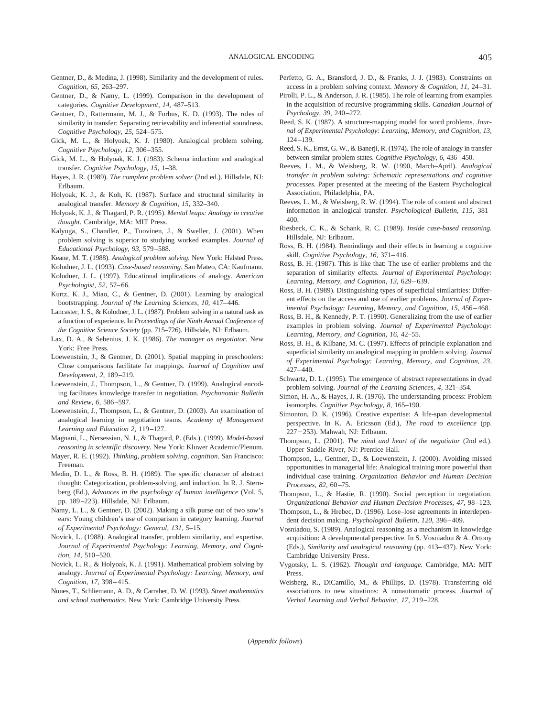- Gentner, D., & Medina, J. (1998). Similarity and the development of rules. *Cognition, 65,* 263–297.
- Gentner, D., & Namy, L. (1999). Comparison in the development of categories. *Cognitive Development, 14,* 487–513.
- Gentner, D., Rattermann, M. J., & Forbus, K. D. (1993). The roles of similarity in transfer: Separating retrievability and inferential soundness. *Cognitive Psychology, 25,* 524–575.
- Gick, M. L., & Holyoak, K. J. (1980). Analogical problem solving. *Cognitive Psychology, 12,* 306–355.
- Gick, M. L., & Holyoak, K. J. (1983). Schema induction and analogical transfer. *Cognitive Psychology, 15,* 1–38.
- Hayes, J. R. (1989). *The complete problem solver* (2nd ed.). Hillsdale, NJ: Erlbaum.
- Holyoak, K. J., & Koh, K. (1987). Surface and structural similarity in analogical transfer. *Memory & Cognition, 15,* 332–340.
- Holyoak, K. J., & Thagard, P. R. (1995). *Mental leaps: Analogy in creative thought.* Cambridge, MA: MIT Press.
- Kalyuga, S., Chandler, P., Tuovinen, J., & Sweller, J. (2001). When problem solving is superior to studying worked examples. *Journal of Educational Psychology, 93,* 579–588.
- Keane, M. T. (1988). *Analogical problem solving.* New York: Halsted Press.
- Kolodner, J. L. (1993). *Case-based reasoning.* San Mateo, CA: Kaufmann. Kolodner, J. L. (1997). Educational implications of analogy. *American*
- *Psychologist, 52,* 57–66. Kurtz, K. J., Miao, C., & Gentner, D. (2001). Learning by analogical bootstrapping. *Journal of the Learning Sciences, 10,* 417–446.
- Lancaster, J. S., & Kolodner, J. L. (1987). Problem solving in a natural task as a function of experience. In *Proceedings of the Ninth Annual Conference of the Cognitive Science Society* (pp. 715–726). Hillsdale, NJ: Erlbaum.
- Lax, D. A., & Sebenius, J. K. (1986). *The manager as negotiator.* New York: Free Press.
- Loewenstein, J., & Gentner, D. (2001). Spatial mapping in preschoolers: Close comparisons facilitate far mappings. *Journal of Cognition and Development, 2,* 189–219.
- Loewenstein, J., Thompson, L., & Gentner, D. (1999). Analogical encoding facilitates knowledge transfer in negotiation. *Psychonomic Bulletin and Review, 6,* 586–597.
- Loewenstein, J., Thompson, L., & Gentner, D. (2003). An examination of analogical learning in negotiation teams. *Academy of Management Learning and Education 2,* 119–127.
- Magnani, L., Nersessian, N. J., & Thagard, P. (Eds.). (1999). *Model-based reasoning in scientific discovery.* New York: Kluwer Academic/Plenum.
- Mayer, R. E. (1992). *Thinking, problem solving, cognition.* San Francisco: Freeman.
- Medin, D. L., & Ross, B. H. (1989). The specific character of abstract thought: Categorization, problem-solving, and induction. In R. J. Sternberg (Ed.), *Advances in the psychology of human intelligence* (Vol. 5, pp. 189–223). Hillsdale, NJ: Erlbaum.
- Namy, L. L., & Gentner, D. (2002). Making a silk purse out of two sow's ears: Young children's use of comparison in category learning. *Journal of Experimental Psychology: General, 131,* 5–15.
- Novick, L. (1988). Analogical transfer, problem similarity, and expertise. *Journal of Experimental Psychology: Learning, Memory, and Cognition, 14,* 510–520.
- Novick, L. R., & Holyoak, K. J. (1991). Mathematical problem solving by analogy. *Journal of Experimental Psychology: Learning, Memory, and Cognition, 17,* 398–415.
- Nunes, T., Schliemann, A. D., & Carraher, D. W. (1993). *Street mathematics and school mathematics.* New York: Cambridge University Press.
- Perfetto, G. A., Bransford, J. D., & Franks, J. J. (1983). Constraints on access in a problem solving context. *Memory & Cognition, 11,* 24–31.
- Pirolli, P. L., & Anderson, J. R. (1985). The role of learning from examples in the acquisition of recursive programming skills. *Canadian Journal of Psychology, 39,* 240–272.
- Reed, S. K. (1987). A structure-mapping model for word problems. *Journal of Experimental Psychology: Learning, Memory, and Cognition, 13,* 124–139.
- Reed, S. K., Ernst, G. W., & Banerji, R. (1974). The role of analogy in transfer between similar problem states. *Cognitive Psychology, 6,* 436–450.
- Reeves, L. M., & Weisberg, R. W. (1990, March–April). *Analogical transfer in problem solving: Schematic representations and cognitive processes.* Paper presented at the meeting of the Eastern Psychological Association, Philadelphia, PA.
- Reeves, L. M., & Weisberg, R. W. (1994). The role of content and abstract information in analogical transfer. *Psychological Bulletin, 115,* 381– 400.
- Riesbeck, C. K., & Schank, R. C. (1989). *Inside case-based reasoning.* Hillsdale, NJ: Erlbaum.
- Ross, B. H. (1984). Remindings and their effects in learning a cognitive skill. *Cognitive Psychology, 16,* 371–416.
- Ross, B. H. (1987). This is like that: The use of earlier problems and the separation of similarity effects. *Journal of Experimental Psychology: Learning, Memory, and Cognition, 13,* 629–639.
- Ross, B. H. (1989). Distinguishing types of superficial similarities: Different effects on the access and use of earlier problems. *Journal of Experimental Psychology: Learning, Memory, and Cognition, 15,* 456–468.
- Ross, B. H., & Kennedy, P. T. (1990). Generalizing from the use of earlier examples in problem solving. *Journal of Experimental Psychology: Learning, Memory, and Cognition, 16,* 42–55.
- Ross, B. H., & Kilbane, M. C. (1997). Effects of principle explanation and superficial similarity on analogical mapping in problem solving. *Journal of Experimental Psychology: Learning, Memory, and Cognition, 23,* 427–440.
- Schwartz, D. L. (1995). The emergence of abstract representations in dyad problem solving. *Journal of the Learning Sciences, 4,* 321–354.
- Simon, H. A., & Hayes, J. R. (1976). The understanding process: Problem isomorphs. *Cognitive Psychology, 8,* 165–190.
- Simonton, D. K. (1996). Creative expertise: A life-span developmental perspective. In K. A. Ericsson (Ed.), *The road to excellence* (pp. 227-253). Mahwah, NJ: Erlbaum.
- Thompson, L. (2001). *The mind and heart of the negotiator* (2nd ed.). Upper Saddle River, NJ: Prentice Hall.
- Thompson, L., Gentner, D., & Loewenstein, J. (2000). Avoiding missed opportunities in managerial life: Analogical training more powerful than individual case training. *Organization Behavior and Human Decision Processes, 82,* 60–75.
- Thompson, L., & Hastie, R. (1990). Social perception in negotiation. *Organizational Behavior and Human Decision Processes, 47,* 98–123.
- Thompson, L., & Hrebec, D. (1996). Lose–lose agreements in interdependent decision making. *Psychological Bulletin, 120,* 396–409.
- Vosniadou, S. (1989). Analogical reasoning as a mechanism in knowledge acquisition: A developmental perspective. In S. Vosniadou & A. Ortony (Eds.), *Similarity and analogical reasoning* (pp. 413–437). New York: Cambridge University Press.
- Vygotsky, L. S. (1962). *Thought and language.* Cambridge, MA: MIT Press.
- Weisberg, R., DiCamillo, M., & Phillips, D. (1978). Transferring old associations to new situations: A nonautomatic process. *Journal of Verbal Learning and Verbal Behavior, 17,* 219–228.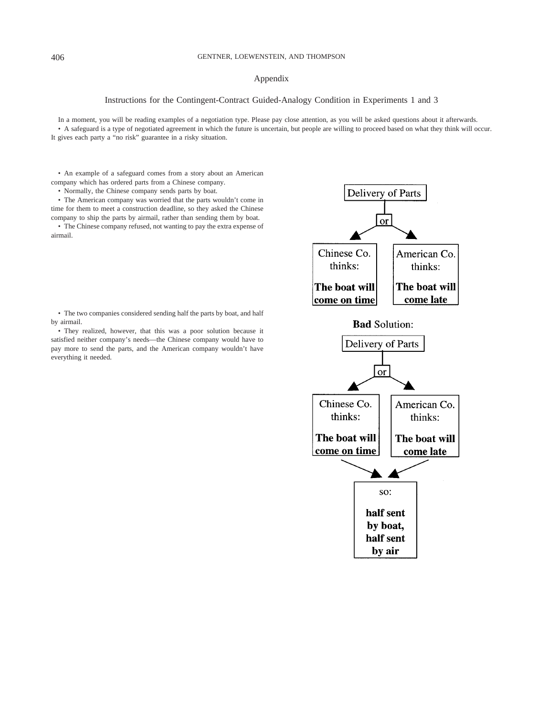# Appendix

# Instructions for the Contingent-Contract Guided-Analogy Condition in Experiments 1 and 3

In a moment, you will be reading examples of a negotiation type. Please pay close attention, as you will be asked questions about it afterwards. • A safeguard is a type of negotiated agreement in which the future is uncertain, but people are willing to proceed based on what they think will occur. It gives each party a "no risk" guarantee in a risky situation.

• An example of a safeguard comes from a story about an American company which has ordered parts from a Chinese company.

• Normally, the Chinese company sends parts by boat.

• The American company was worried that the parts wouldn't come in time for them to meet a construction deadline, so they asked the Chinese company to ship the parts by airmail, rather than sending them by boat.

• The Chinese company refused, not wanting to pay the extra expense of airmail.



• They realized, however, that this was a poor solution because it satisfied neither company's needs—the Chinese company would have to pay more to send the parts, and the American company wouldn't have everything it needed.

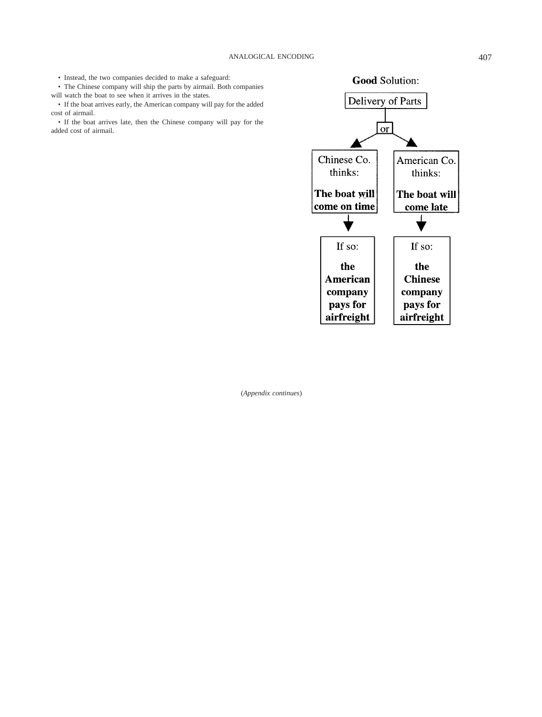• Instead, the two companies decided to make a safeguard:

• The Chinese company will ship the parts by airmail. Both companies will watch the boat to see when it arrives in the states.

• If the boat arrives early, the American company will pay for the added cost of airmail.

• If the boat arrives late, then the Chinese company will pay for the added cost of airmail.



(*Appendix continues*)